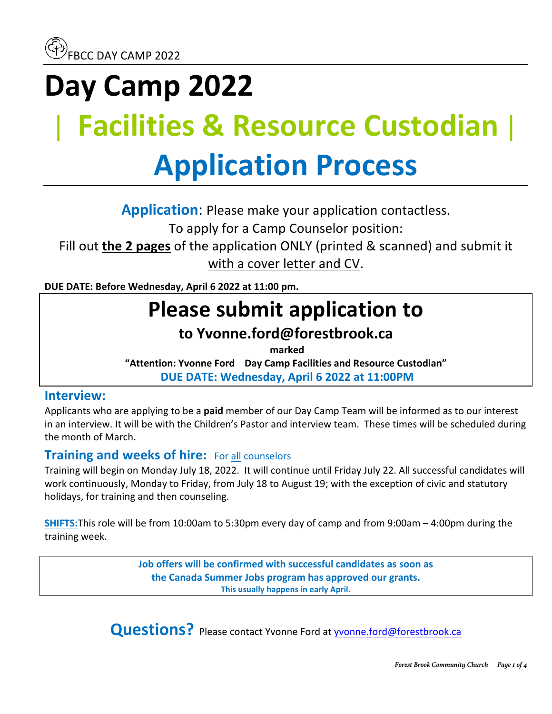# **Day Camp 2022** | **Facilities & Resource Custodian**| **Application Process**

**Application:** Please make your application contactless. To apply for a Camp Counselor position:

Fill out **the 2 pages** of the application ONLY (printed & scanned) and submit it with a cover letter and CV.

**DUE DATE: Before Wednesday, April 6 2022 at 11:00 pm.** 

# **Please submit application to**

## **to Yvonne.ford@forestbrook.ca**

**marked** 

"Attention: Yvonne Ford Day Camp Facilities and Resource Custodian" **DUE DATE: Wednesday, April 6 2022 at 11:00PM**

### **Interview:**

Applicants who are applying to be a **paid** member of our Day Camp Team will be informed as to our interest in an interview. It will be with the Children's Pastor and interview team. These times will be scheduled during the month of March.

### **Training and weeks of hire:** For all counselors

Training will begin on Monday July 18, 2022. It will continue until Friday July 22. All successful candidates will work continuously, Monday to Friday, from July 18 to August 19; with the exception of civic and statutory holidays, for training and then counseling.

**SHIFTS:**This role will be from 10:00am to 5:30pm every day of camp and from 9:00am – 4:00pm during the training week.

> **Job offers will be confirmed with successful candidates as soon as the Canada Summer Jobs program has approved our grants. This usually happens in early April.**

**Questions?** Please contact Yvonne Ford at yvonne.ford@forestbrook.ca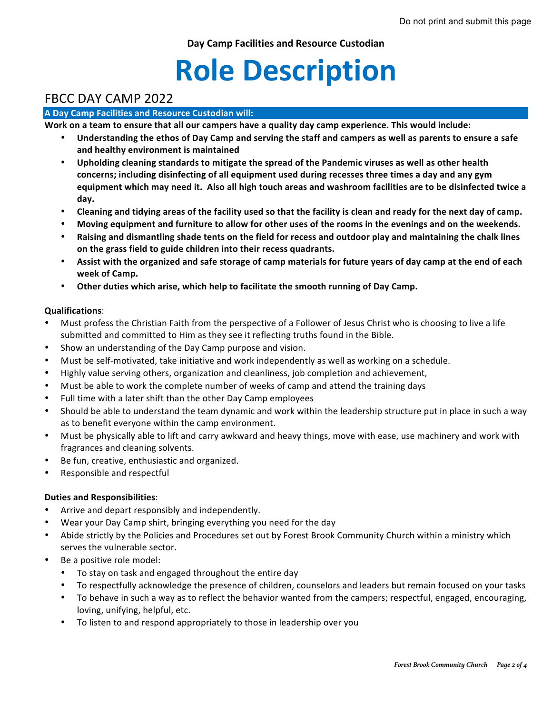**Day Camp Facilities and Resource Custodian**

# **Role Description**

### FBCC DAY CAMP 2022

#### **A Day Camp Facilities and Resource Custodian will:**

Work on a team to ensure that all our campers have a quality day camp experience. This would include:

- Understanding the ethos of Day Camp and serving the staff and campers as well as parents to ensure a safe **and healthy environment is maintained**
- Upholding cleaning standards to mitigate the spread of the Pandemic viruses as well as other health concerns; including disinfecting of all equipment used during recesses three times a day and any gym equipment which may need it. Also all high touch areas and washroom facilities are to be disinfected twice a **day.**
- Cleaning and tidying areas of the facility used so that the facility is clean and ready for the next day of camp.
- Moving equipment and furniture to allow for other uses of the rooms in the evenings and on the weekends.
- Raising and dismantling shade tents on the field for recess and outdoor play and maintaining the chalk lines on the grass field to guide children into their recess quadrants.
- Assist with the organized and safe storage of camp materials for future years of day camp at the end of each **week of Camp.**
- Other duties which arise, which help to facilitate the smooth running of Day Camp.

#### **Qualifications**:

- Must profess the Christian Faith from the perspective of a Follower of Jesus Christ who is choosing to live a life submitted and committed to Him as they see it reflecting truths found in the Bible.
- Show an understanding of the Day Camp purpose and vision.
- Must be self-motivated, take initiative and work independently as well as working on a schedule.
- Highly value serving others, organization and cleanliness, job completion and achievement,
- Must be able to work the complete number of weeks of camp and attend the training days
- Full time with a later shift than the other Day Camp employees
- Should be able to understand the team dynamic and work within the leadership structure put in place in such a way as to benefit everyone within the camp environment.
- Must be physically able to lift and carry awkward and heavy things, move with ease, use machinery and work with fragrances and cleaning solvents.
- Be fun, creative, enthusiastic and organized.
- Responsible and respectful

#### **Duties and Responsibilities**:

- Arrive and depart responsibly and independently.
- Wear your Day Camp shirt, bringing everything you need for the day
- Abide strictly by the Policies and Procedures set out by Forest Brook Community Church within a ministry which serves the vulnerable sector.
- Be a positive role model:
	- To stay on task and engaged throughout the entire day
	- To respectfully acknowledge the presence of children, counselors and leaders but remain focused on your tasks
	- To behave in such a way as to reflect the behavior wanted from the campers; respectful, engaged, encouraging, loving, unifying, helpful, etc.
	- To listen to and respond appropriately to those in leadership over you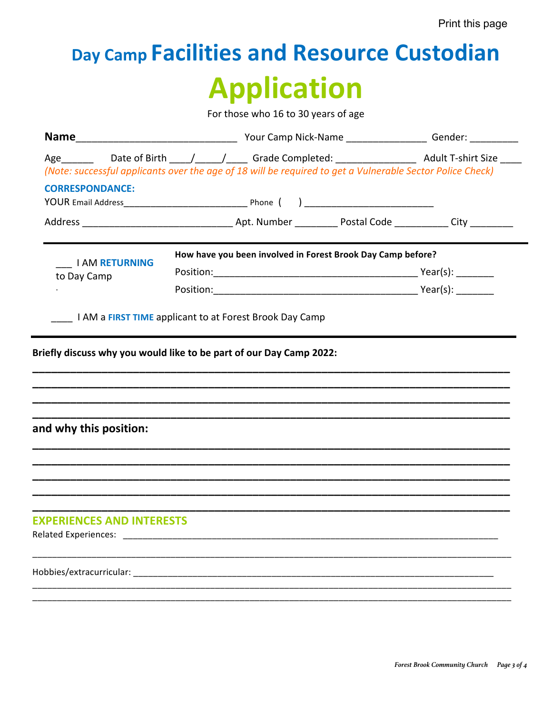# Day Camp Facilities and Resource Custodian **Application**

For those who 16 to 30 years of age

|                                                                 | (Note: successful applicants over the age of 18 will be required to get a Vulnerable Sector Police Check)     |  |  |  |
|-----------------------------------------------------------------|---------------------------------------------------------------------------------------------------------------|--|--|--|
| <b>CORRESPONDANCE:</b>                                          |                                                                                                               |  |  |  |
|                                                                 |                                                                                                               |  |  |  |
|                                                                 |                                                                                                               |  |  |  |
|                                                                 | How have you been involved in Forest Brook Day Camp before?                                                   |  |  |  |
| <b>I AM RETURNING</b><br>to Day Camp                            |                                                                                                               |  |  |  |
|                                                                 |                                                                                                               |  |  |  |
|                                                                 | Briefly discuss why you would like to be part of our Day Camp 2022:                                           |  |  |  |
|                                                                 |                                                                                                               |  |  |  |
|                                                                 |                                                                                                               |  |  |  |
|                                                                 |                                                                                                               |  |  |  |
|                                                                 |                                                                                                               |  |  |  |
| and why this position:                                          |                                                                                                               |  |  |  |
|                                                                 |                                                                                                               |  |  |  |
|                                                                 |                                                                                                               |  |  |  |
|                                                                 |                                                                                                               |  |  |  |
|                                                                 |                                                                                                               |  |  |  |
|                                                                 |                                                                                                               |  |  |  |
|                                                                 |                                                                                                               |  |  |  |
| <b>EXPERIENCES AND INTERESTS</b><br><b>Related Experiences:</b> |                                                                                                               |  |  |  |
|                                                                 | Hobbies/extracurricular: with a state of the state of the state of the state of the state of the state of the |  |  |  |
|                                                                 |                                                                                                               |  |  |  |